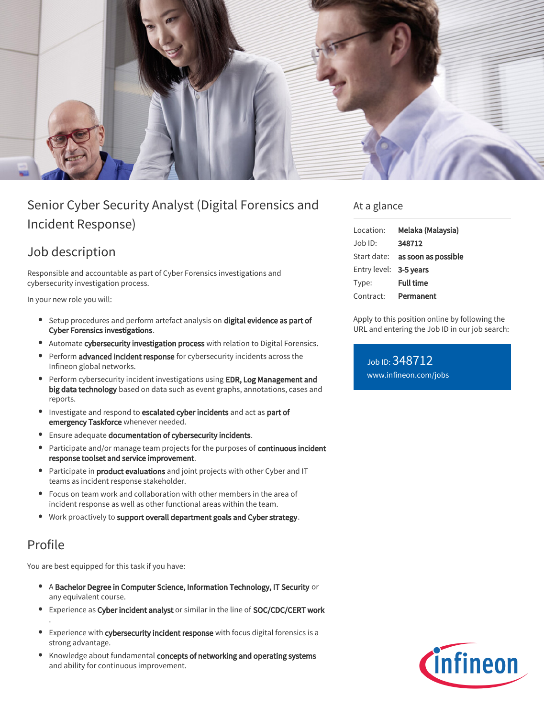

# Senior Cyber Security Analyst (Digital Forensics and Incident Response)

## Job description

Responsible and accountable as part of Cyber Forensics investigations and cybersecurity investigation process.

In your new role you will:

- **Setup procedures and perform artefact analysis on digital evidence as part of** Cyber Forensics investigations.
- Automate cybersecurity investigation process with relation to Digital Forensics.
- **Perform advanced incident response** for cybersecurity incidents across the Infineon global networks.
- **Perform cybersecurity incident investigations using EDR, Log Management and** big data technology based on data such as event graphs, annotations, cases and reports.
- $\bullet$ Investigate and respond to escalated cyber incidents and act as part of emergency Taskforce whenever needed.
- **Ensure adequate documentation of cybersecurity incidents.**
- $\bullet$ Participate and/or manage team projects for the purposes of continuous incident response toolset and service improvement.
- **Participate in product evaluations** and joint projects with other Cyber and IT teams as incident response stakeholder.
- Focus on team work and collaboration with other members in the area of incident response as well as other functional areas within the team.
- Work proactively to support overall department goals and Cyber strategy.

### Profile

.

You are best equipped for this task if you have:

- A Bachelor Degree in Computer Science, Information Technology, IT Security or any equivalent course.
- Experience as Cyber incident analyst or similar in the line of SOC/CDC/CERT work
- Experience with cybersecurity incident response with focus digital forensics is a strong advantage.
- Knowledge about fundamental concepts of networking and operating systems and ability for continuous improvement.

### At a glance

| Location:              | Melaka (Malaysia)                      |
|------------------------|----------------------------------------|
| Job ID:                | 348712                                 |
|                        | Start date: <b>as soon as possible</b> |
| Entry level: 3-5 years |                                        |
| Type:                  | <b>Full time</b>                       |
| Contract:              | Permanent                              |

Apply to this position online by following the URL and entering the Job ID in our job search:

Job ID: 348712 [www.infineon.com/jobs](https://www.infineon.com/jobs)